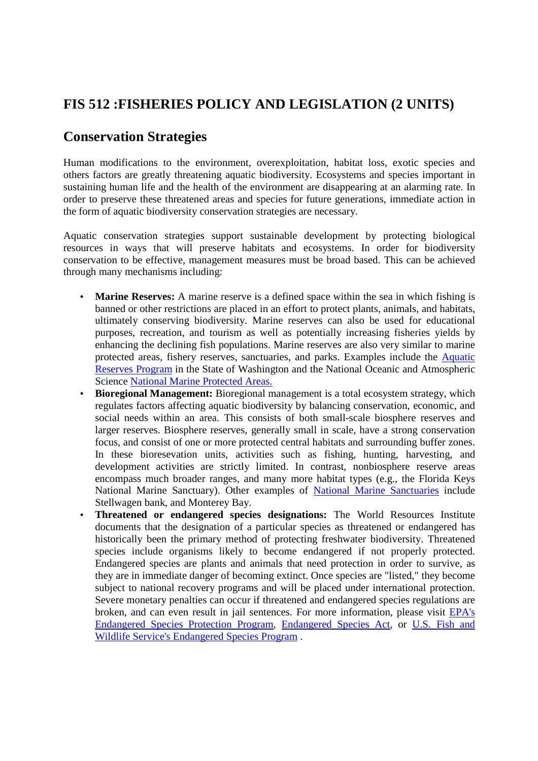# **FIS 512 :FISHERIES POLICY AND LEGISLATION (2 UNITS)**

# **Conservation Strategies**

Human modifications to the environment, overexploitation, habitat loss, exotic species and others factors are greatly threatening aquatic biodiversity. Ecosystems and species important in sustaining human life and the health of the environment are disappearing at an alarming rate. In order to preserve these threatened areas and species for future generations, immediate action in the form of aquatic biodiversity conservation strategies are necessary.

Aquatic conservation strategies support sustainable development by protecting biological resources in ways that will preserve habitats and ecosystems. In order for biodiversity conservation to be effective, management measures must be broad based. This can be achieved through many mechanisms including:

- **Marine Reserves:** A marine reserve is a defined space within the sea in which fishing is banned or other restrictions are placed in an effort to protect plants, animals, and habitats, ultimately conserving biodiversity. Marine reserves can also be used for educational purposes, recreation, and tourism as well as potentially increasing fisheries yields by enhancing the declining fish populations. Marine reserves are also very similar to marine protected areas, fishery reserves, sanctuaries, and parks. Examples include the Aquatic Reserves Program in the State of Washington and the National Oceanic and Atmospheric Science National Marine Protected Areas.
- **Bioregional Management:** Bioregional management is a total ecosystem strategy, which regulates factors affecting aquatic biodiversity by balancing conservation, economic, and social needs within an area. This consists of both small-scale biosphere reserves and larger reserves. Biosphere reserves, generally small in scale, have a strong conservation focus, and consist of one or more protected central habitats and surrounding buffer zones. In these bioresevation units, activities such as fishing, hunting, harvesting, and development activities are strictly limited. In contrast, nonbiosphere reserve areas encompass much broader ranges, and many more habitat types (e.g., the Florida Keys National Marine Sanctuary). Other examples of National Marine Sanctuaries include Stellwagen bank, and Monterey Bay.
- **Threatened or endangered species designations:** The World Resources Institute documents that the designation of a particular species as threatened or endangered has historically been the primary method of protecting freshwater biodiversity. Threatened species include organisms likely to become endangered if not properly protected. Endangered species are plants and animals that need protection in order to survive, as they are in immediate danger of becoming extinct. Once species are "listed," they become subject to national recovery programs and will be placed under international protection. Severe monetary penalties can occur if threatened and endangered species regulations are broken, and can even result in jail sentences. For more information, please visit EPA's Endangered Species Protection Program, Endangered Species Act, or U.S. Fish and Wildlife Service's Endangered Species Program .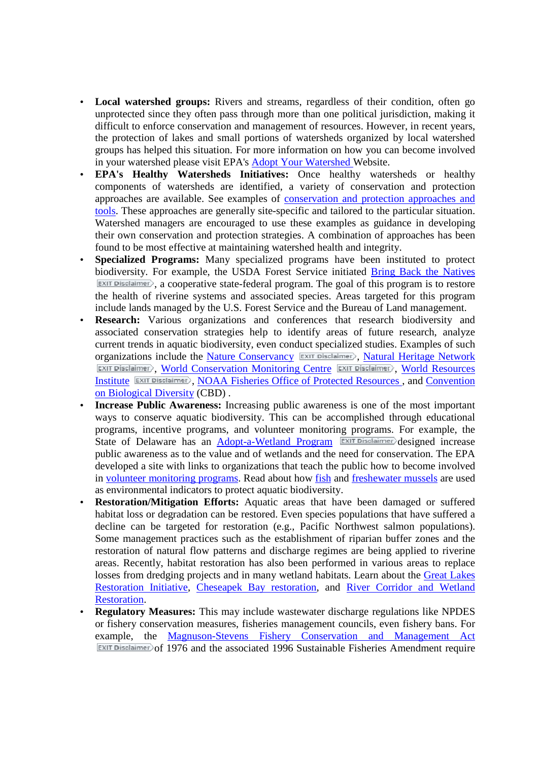- **Local watershed groups:** Rivers and streams, regardless of their condition, often go unprotected since they often pass through more than one political jurisdiction, making it difficult to enforce conservation and management of resources. However, in recent years, the protection of lakes and small portions of watersheds organized by local watershed groups has helped this situation. For more information on how you can become involved in your watershed please visit EPA's Adopt Your Watershed Website.
- **EPA's Healthy Watersheds Initiatives:** Once healthy watersheds or healthy components of watersheds are identified, a variety of conservation and protection approaches are available. See examples of conservation and protection approaches and tools. These approaches are generally site-specific and tailored to the particular situation. Watershed managers are encouraged to use these examples as guidance in developing their own conservation and protection strategies. A combination of approaches has been found to be most effective at maintaining watershed health and integrity.
- **Specialized Programs:** Many specialized programs have been instituted to protect biodiversity. For example, the USDA Forest Service initiated Bring Back the Natives  $\overline{\text{Exit}}$  Disclaimer), a cooperative state-federal program. The goal of this program is to restore the health of riverine systems and associated species. Areas targeted for this program include lands managed by the U.S. Forest Service and the Bureau of Land management.
- **Research:** Various organizations and conferences that research biodiversity and associated conservation strategies help to identify areas of future research, analyze current trends in aquatic biodiversity, even conduct specialized studies. Examples of such organizations include the Nature Conservancy **EXIT Disclaimer**, Natural Heritage Network **EXIT Disclaimer**, World Conservation Monitoring Centre EXIT Disclaimer), World Resources Institute **EXIT Disclaimer**, NOAA Fisheries Office of Protected Resources, and Convention on Biological Diversity (CBD) .
- **Increase Public Awareness:** Increasing public awareness is one of the most important ways to conserve aquatic biodiversity. This can be accomplished through educational programs, incentive programs, and volunteer monitoring programs. For example, the State of Delaware has an Adopt-a-Wetland Program EXIT Disclaimer designed increase public awareness as to the value and of wetlands and the need for conservation. The EPA developed a site with links to organizations that teach the public how to become involved in volunteer monitoring programs. Read about how fish and freshewater mussels are used as environmental indicators to protect aquatic biodiversity.
- **Restoration/Mitigation Efforts:** Aquatic areas that have been damaged or suffered habitat loss or degradation can be restored. Even species populations that have suffered a decline can be targeted for restoration (e.g., Pacific Northwest salmon populations). Some management practices such as the establishment of riparian buffer zones and the restoration of natural flow patterns and discharge regimes are being applied to riverine areas. Recently, habitat restoration has also been performed in various areas to replace losses from dredging projects and in many wetland habitats. Learn about the Great Lakes Restoration Initiative, Cheseapek Bay restoration, and River Corridor and Wetland Restoration.
- **Regulatory Measures:** This may include wastewater discharge regulations like NPDES or fishery conservation measures, fisheries management councils, even fishery bans. For example, the Magnuson-Stevens Fishery Conservation and Management Act  $\overline{\text{Exit}}$  Disclaimer) of 1976 and the associated 1996 Sustainable Fisheries Amendment require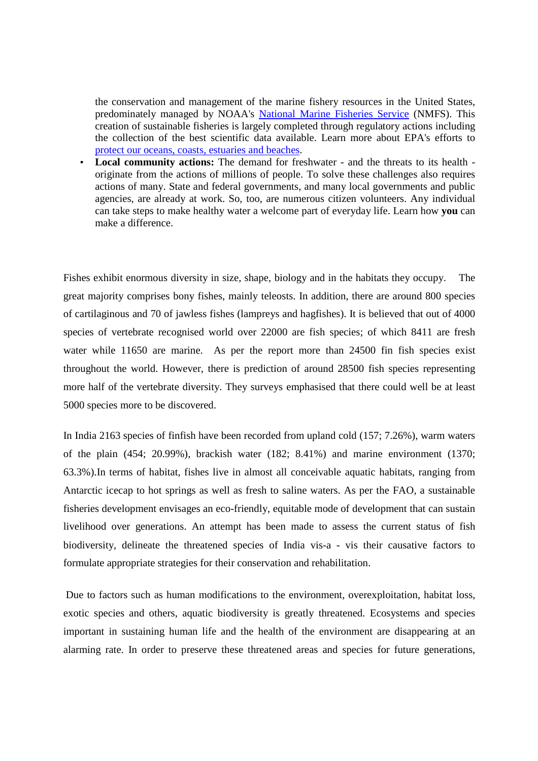the conservation and management of the marine fishery resources in the United States, predominately managed by NOAA's National Marine Fisheries Service (NMFS). This creation of sustainable fisheries is largely completed through regulatory actions including the collection of the best scientific data available. Learn more about EPA's efforts to protect our oceans, coasts, estuaries and beaches.

• **Local community actions:** The demand for freshwater - and the threats to its health originate from the actions of millions of people. To solve these challenges also requires actions of many. State and federal governments, and many local governments and public agencies, are already at work. So, too, are numerous citizen volunteers. Any individual can take steps to make healthy water a welcome part of everyday life. Learn how **you** can make a difference.

Fishes exhibit enormous diversity in size, shape, biology and in the habitats they occupy. The great majority comprises bony fishes, mainly teleosts. In addition, there are around 800 species of cartilaginous and 70 of jawless fishes (lampreys and hagfishes). It is believed that out of 4000 species of vertebrate recognised world over 22000 are fish species; of which 8411 are fresh water while 11650 are marine. As per the report more than 24500 fin fish species exist throughout the world. However, there is prediction of around 28500 fish species representing more half of the vertebrate diversity. They surveys emphasised that there could well be at least 5000 species more to be discovered.

In India 2163 species of finfish have been recorded from upland cold (157; 7.26%), warm waters of the plain (454; 20.99%), brackish water (182; 8.41%) and marine environment (1370; 63.3%).In terms of habitat, fishes live in almost all conceivable aquatic habitats, ranging from Antarctic icecap to hot springs as well as fresh to saline waters. As per the FAO, a sustainable fisheries development envisages an eco-friendly, equitable mode of development that can sustain livelihood over generations. An attempt has been made to assess the current status of fish biodiversity, delineate the threatened species of India vis-a - vis their causative factors to formulate appropriate strategies for their conservation and rehabilitation.

 Due to factors such as human modifications to the environment, overexploitation, habitat loss, exotic species and others, aquatic biodiversity is greatly threatened. Ecosystems and species important in sustaining human life and the health of the environment are disappearing at an alarming rate. In order to preserve these threatened areas and species for future generations,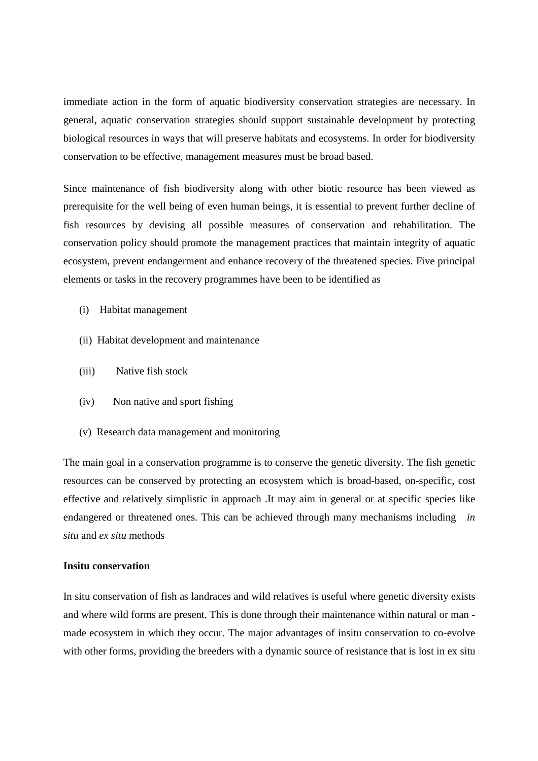immediate action in the form of aquatic biodiversity conservation strategies are necessary. In general, aquatic conservation strategies should support sustainable development by protecting biological resources in ways that will preserve habitats and ecosystems. In order for biodiversity conservation to be effective, management measures must be broad based.

Since maintenance of fish biodiversity along with other biotic resource has been viewed as prerequisite for the well being of even human beings, it is essential to prevent further decline of fish resources by devising all possible measures of conservation and rehabilitation. The conservation policy should promote the management practices that maintain integrity of aquatic ecosystem, prevent endangerment and enhance recovery of the threatened species. Five principal elements or tasks in the recovery programmes have been to be identified as

- (i) Habitat management
- (ii) Habitat development and maintenance
- (iii) Native fish stock
- (iv) Non native and sport fishing
- (v) Research data management and monitoring

The main goal in a conservation programme is to conserve the genetic diversity. The fish genetic resources can be conserved by protecting an ecosystem which is broad-based, on-specific, cost effective and relatively simplistic in approach .It may aim in general or at specific species like endangered or threatened ones. This can be achieved through many mechanisms including *in situ* and *ex situ* methods

#### **Insitu conservation**

In situ conservation of fish as landraces and wild relatives is useful where genetic diversity exists and where wild forms are present. This is done through their maintenance within natural or man made ecosystem in which they occur. The major advantages of insitu conservation to co-evolve with other forms, providing the breeders with a dynamic source of resistance that is lost in ex situ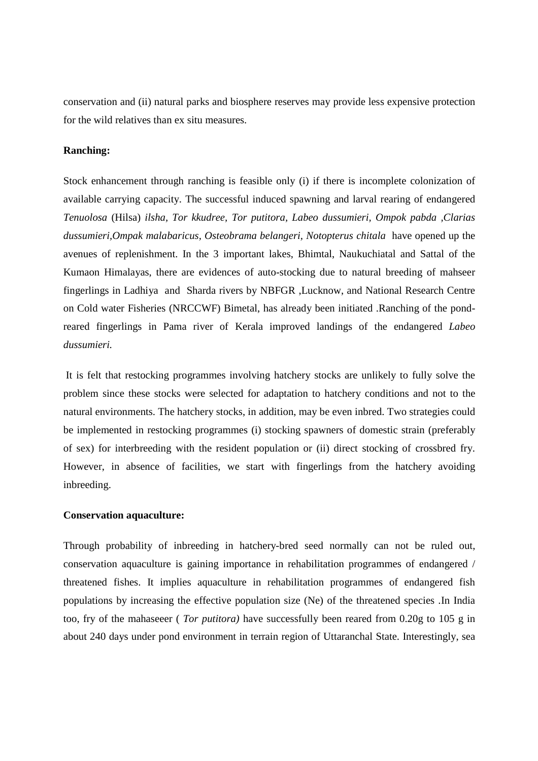conservation and (ii) natural parks and biosphere reserves may provide less expensive protection for the wild relatives than ex situ measures.

## **Ranching:**

Stock enhancement through ranching is feasible only (i) if there is incomplete colonization of available carrying capacity. The successful induced spawning and larval rearing of endangered *Tenuolosa* (Hilsa) *ilsha, Tor kkudree, Tor putitora, Labeo dussumieri, Ompok pabda ,Clarias dussumieri,Ompak malabaricus, Osteobrama belangeri, Notopterus chitala* have opened up the avenues of replenishment. In the 3 important lakes, Bhimtal, Naukuchiatal and Sattal of the Kumaon Himalayas, there are evidences of auto-stocking due to natural breeding of mahseer fingerlings in Ladhiya and Sharda rivers by NBFGR ,Lucknow, and National Research Centre on Cold water Fisheries (NRCCWF) Bimetal, has already been initiated .Ranching of the pondreared fingerlings in Pama river of Kerala improved landings of the endangered *Labeo dussumieri.*

 It is felt that restocking programmes involving hatchery stocks are unlikely to fully solve the problem since these stocks were selected for adaptation to hatchery conditions and not to the natural environments. The hatchery stocks, in addition, may be even inbred. Two strategies could be implemented in restocking programmes (i) stocking spawners of domestic strain (preferably of sex) for interbreeding with the resident population or (ii) direct stocking of crossbred fry. However, in absence of facilities, we start with fingerlings from the hatchery avoiding inbreeding.

## **Conservation aquaculture:**

Through probability of inbreeding in hatchery-bred seed normally can not be ruled out, conservation aquaculture is gaining importance in rehabilitation programmes of endangered / threatened fishes. It implies aquaculture in rehabilitation programmes of endangered fish populations by increasing the effective population size (Ne) of the threatened species .In India too, fry of the mahaseeer ( *Tor putitora)* have successfully been reared from 0.20g to 105 g in about 240 days under pond environment in terrain region of Uttaranchal State. Interestingly, sea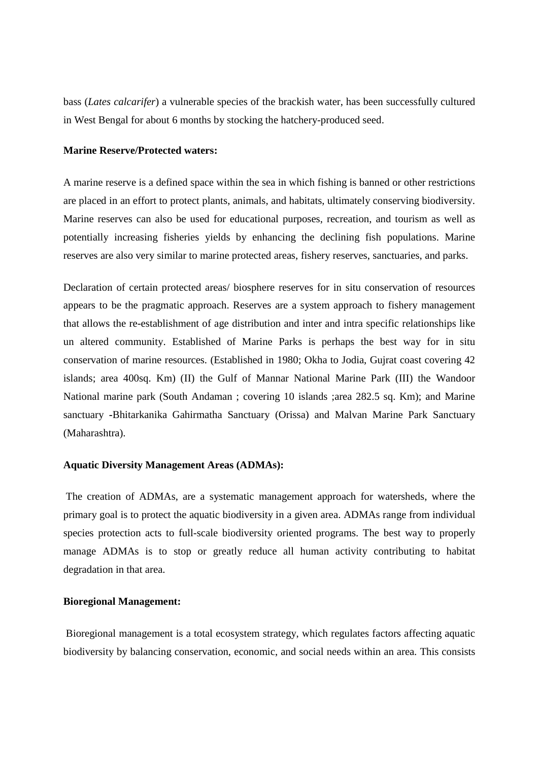bass (*Lates calcarifer*) a vulnerable species of the brackish water, has been successfully cultured in West Bengal for about 6 months by stocking the hatchery-produced seed.

## **Marine Reserve/Protected waters:**

A marine reserve is a defined space within the sea in which fishing is banned or other restrictions are placed in an effort to protect plants, animals, and habitats, ultimately conserving biodiversity. Marine reserves can also be used for educational purposes, recreation, and tourism as well as potentially increasing fisheries yields by enhancing the declining fish populations. Marine reserves are also very similar to marine protected areas, fishery reserves, sanctuaries, and parks.

Declaration of certain protected areas/ biosphere reserves for in situ conservation of resources appears to be the pragmatic approach. Reserves are a system approach to fishery management that allows the re-establishment of age distribution and inter and intra specific relationships like un altered community. Established of Marine Parks is perhaps the best way for in situ conservation of marine resources. (Established in 1980; Okha to Jodia, Gujrat coast covering 42 islands; area 400sq. Km) (II) the Gulf of Mannar National Marine Park (III) the Wandoor National marine park (South Andaman ; covering 10 islands ;area 282.5 sq. Km); and Marine sanctuary **-**Bhitarkanika Gahirmatha Sanctuary (Orissa) and Malvan Marine Park Sanctuary (Maharashtra).

## **Aquatic Diversity Management Areas (ADMAs):**

The creation of ADMAs, are a systematic management approach for watersheds, where the primary goal is to protect the aquatic biodiversity in a given area. ADMAs range from individual species protection acts to full-scale biodiversity oriented programs. The best way to properly manage ADMAs is to stop or greatly reduce all human activity contributing to habitat degradation in that area.

# **Bioregional Management:**

 Bioregional management is a total ecosystem strategy, which regulates factors affecting aquatic biodiversity by balancing conservation, economic, and social needs within an area. This consists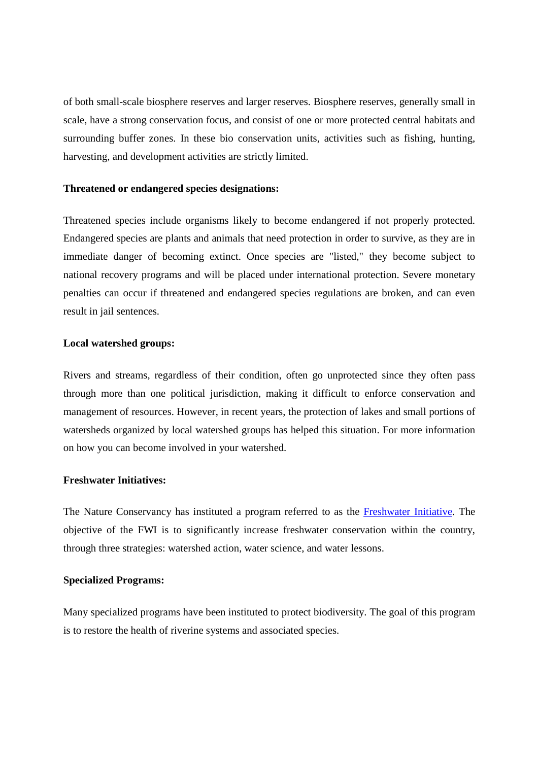of both small-scale biosphere reserves and larger reserves. Biosphere reserves, generally small in scale, have a strong conservation focus, and consist of one or more protected central habitats and surrounding buffer zones. In these bio conservation units, activities such as fishing, hunting, harvesting, and development activities are strictly limited.

## **Threatened or endangered species designations:**

Threatened species include organisms likely to become endangered if not properly protected. Endangered species are plants and animals that need protection in order to survive, as they are in immediate danger of becoming extinct. Once species are "listed," they become subject to national recovery programs and will be placed under international protection. Severe monetary penalties can occur if threatened and endangered species regulations are broken, and can even result in jail sentences.

## **Local watershed groups:**

Rivers and streams, regardless of their condition, often go unprotected since they often pass through more than one political jurisdiction, making it difficult to enforce conservation and management of resources. However, in recent years, the protection of lakes and small portions of watersheds organized by local watershed groups has helped this situation. For more information on how you can become involved in your watershed.

## **Freshwater Initiatives:**

The Nature Conservancy has instituted a program referred to as the Freshwater Initiative. The objective of the FWI is to significantly increase freshwater conservation within the country, through three strategies: watershed action, water science, and water lessons.

## **Specialized Programs:**

Many specialized programs have been instituted to protect biodiversity. The goal of this program is to restore the health of riverine systems and associated species.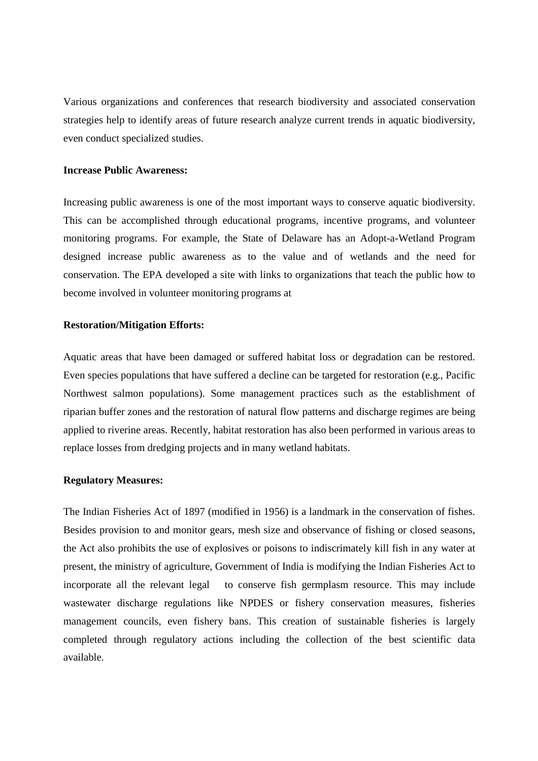Various organizations and conferences that research biodiversity and associated conservation strategies help to identify areas of future research analyze current trends in aquatic biodiversity, even conduct specialized studies.

## **Increase Public Awareness:**

Increasing public awareness is one of the most important ways to conserve aquatic biodiversity. This can be accomplished through educational programs, incentive programs, and volunteer monitoring programs. For example, the State of Delaware has an Adopt-a-Wetland Program designed increase public awareness as to the value and of wetlands and the need for conservation. The EPA developed a site with links to organizations that teach the public how to become involved in volunteer monitoring programs at

## **Restoration/Mitigation Efforts:**

Aquatic areas that have been damaged or suffered habitat loss or degradation can be restored. Even species populations that have suffered a decline can be targeted for restoration (e.g., Pacific Northwest salmon populations). Some management practices such as the establishment of riparian buffer zones and the restoration of natural flow patterns and discharge regimes are being applied to riverine areas. Recently, habitat restoration has also been performed in various areas to replace losses from dredging projects and in many wetland habitats.

## **Regulatory Measures:**

The Indian Fisheries Act of 1897 (modified in 1956) is a landmark in the conservation of fishes. Besides provision to and monitor gears, mesh size and observance of fishing or closed seasons, the Act also prohibits the use of explosives or poisons to indiscrimately kill fish in any water at present, the ministry of agriculture, Government of India is modifying the Indian Fisheries Act to incorporate all the relevant legal to conserve fish germplasm resource. This may include wastewater discharge regulations like NPDES or fishery conservation measures, fisheries management councils, even fishery bans. This creation of sustainable fisheries is largely completed through regulatory actions including the collection of the best scientific data available.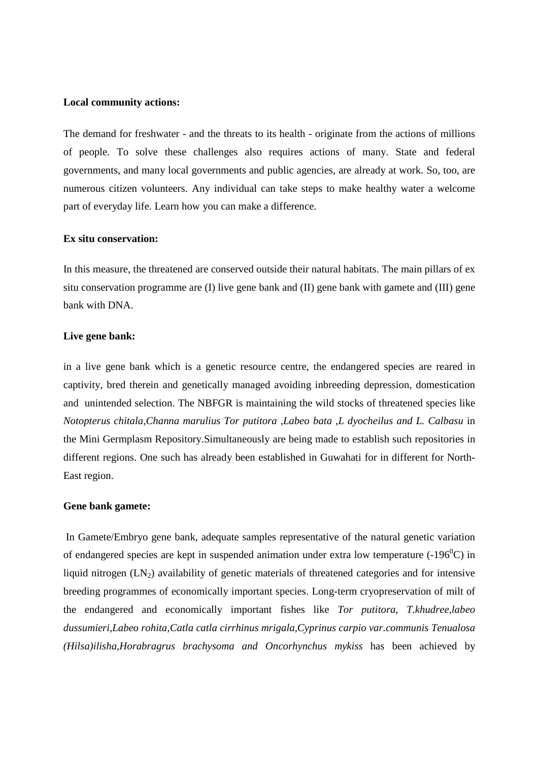#### **Local community actions:**

The demand for freshwater - and the threats to its health - originate from the actions of millions of people. To solve these challenges also requires actions of many. State and federal governments, and many local governments and public agencies, are already at work. So, too, are numerous citizen volunteers. Any individual can take steps to make healthy water a welcome part of everyday life. Learn how you can make a difference.

#### **Ex situ conservation:**

In this measure, the threatened are conserved outside their natural habitats. The main pillars of ex situ conservation programme are (I) live gene bank and (II) gene bank with gamete and (III) gene bank with DNA.

## **Live gene bank:**

in a live gene bank which is a genetic resource centre, the endangered species are reared in captivity, bred therein and genetically managed avoiding inbreeding depression, domestication and unintended selection. The NBFGR is maintaining the wild stocks of threatened species like *Notopterus chitala,Channa marulius Tor putitora ,Labeo bata ,L dyocheilus and L. Calbasu* in the Mini Germplasm Repository.Simultaneously are being made to establish such repositories in different regions. One such has already been established in Guwahati for in different for North-East region.

## **Gene bank gamete:**

 In Gamete/Embryo gene bank, adequate samples representative of the natural genetic variation of endangered species are kept in suspended animation under extra low temperature  $(-196^{\circ}C)$  in liquid nitrogen  $(LN_2)$  availability of genetic materials of threatened categories and for intensive breeding programmes of economically important species. Long-term cryopreservation of milt of the endangered and economically important fishes like *Tor putitora*, *T.khudree,labeo dussumieri,Labeo rohita,Catla catla cirrhinus mrigala,Cyprinus carpio var.communis Tenualosa (Hilsa)ilisha,Horabragrus brachysoma and Oncorhynchus mykiss* has been achieved by